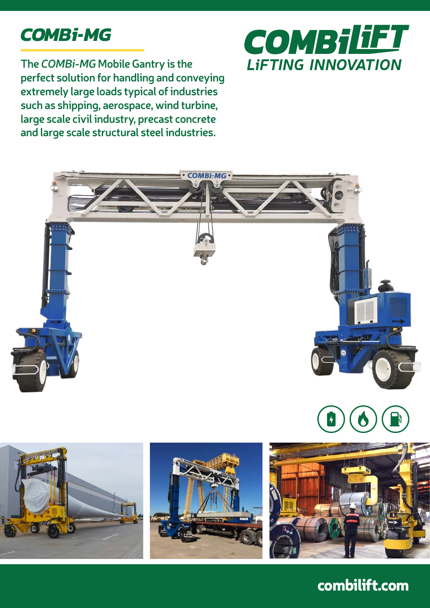

**The** *COMBi-MG* **Mobile Gantry is the perfect solution for handling and conveying extremely large loads typical of industries such as shipping, aerospace, wind turbine, large scale civil industry, precast concrete and large scale structural steel industries.**











combilift.com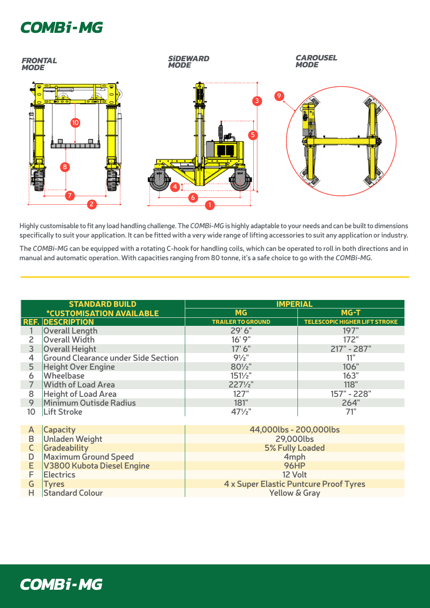

Highly customisable to fit any load handling challenge. The COMBi-MG is highly adaptable to your needs and can be built to dimensions **specifically to suit your application. It can be fitted with a very wide range of lifting accessories to suit any application or industry.**  Highly customisable to fit any load handling challenge. The COM

**The** *COMBi-MG* **can be equipped with a rotating C-hook for handling coils, which can be operated to roll in both directions and in manual and automatic operation. With capacities ranging from 80 tonne, it's a safe choice to go with the** *COMBi-MG***.**

| <b>STANDARD BUILD</b> |                                            | <b>IMPERIAL</b>          |                                      |
|-----------------------|--------------------------------------------|--------------------------|--------------------------------------|
|                       | <i><b>*CUSTOMISATION AVAILABLE</b></i>     | <b>MG</b>                | MG-T                                 |
|                       | <b>REF. DESCRIPTION</b>                    | <b>TRAILER TO GROUND</b> | <b>TELESCOPIC HIGHER LIFT STROKE</b> |
|                       | <b>Overall Length</b>                      | 29'6"                    | 197"                                 |
| $\overline{c}$        | <b>Overall Width</b>                       | 16'9''                   | 172"                                 |
| 3                     | <b>Overall Height</b>                      | 17' 6''                  | 217" - 287"                          |
| $\overline{4}$        | <b>Ground Clearance under Side Section</b> | $9\frac{1}{2}$ "         | 11"                                  |
| 5                     | <b>Height Over Engine</b>                  | $80\frac{1}{2}$ "        | 106"                                 |
| 6                     | <b>Wheelbase</b>                           | $151\frac{1}{2}$         | 163"                                 |
|                       | <b>Width of Load Area</b>                  | $227\frac{1}{2}$ "       | 118"                                 |
| 8                     | <b>Height of Load Area</b>                 | 127"                     | 157" - 228"                          |
| 9                     | Minimum Outisde Radius                     | 181"                     | 264"                                 |
| 10                    | <b>Lift Stroke</b>                         | $47\frac{1}{2}$          | 71"                                  |
|                       |                                            |                          |                                      |
| A                     | <b>Capacity</b>                            | 44,000lbs - 200,000lbs   |                                      |
| D                     | Unladen Weight                             | 200001                   |                                      |

| $\overline{A}$ | <b>ICAPACILY</b>               | 44,UUULUS - ZUU,UUULUS                 |  |
|----------------|--------------------------------|----------------------------------------|--|
|                | <b>B</b> Unladen Weight        | 29,000lbs                              |  |
| $\mathsf{C}$   | Gradeability                   | 5% Fully Loaded                        |  |
| D              | Maximum Ground Speed           | 4 <sub>mph</sub>                       |  |
|                | E   V3800 Kubota Diesel Engine | <b>96HP</b>                            |  |
| E.             | Electrics                      | 12 Volt                                |  |
| G              | <b>Tyres</b>                   | 4 x Super Elastic Puntcure Proof Tyres |  |
|                | <b>H</b> Standard Colour       | <b>Yellow &amp; Gray</b>               |  |
|                |                                |                                        |  |

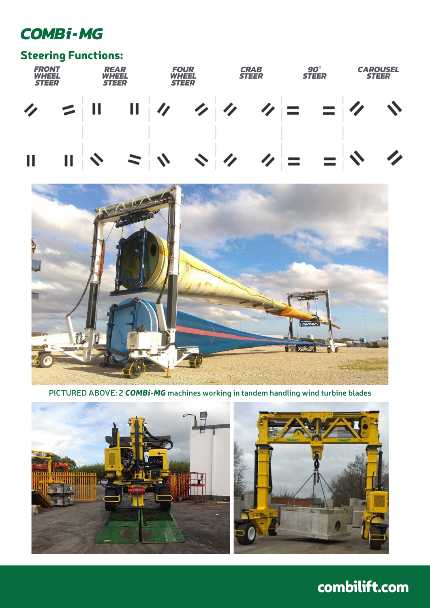### Steering Functions:





**PICTURED ABOVE: 2** *COMBi-MG* **machines working in tandem handling wind turbine blades**





## combilift.com